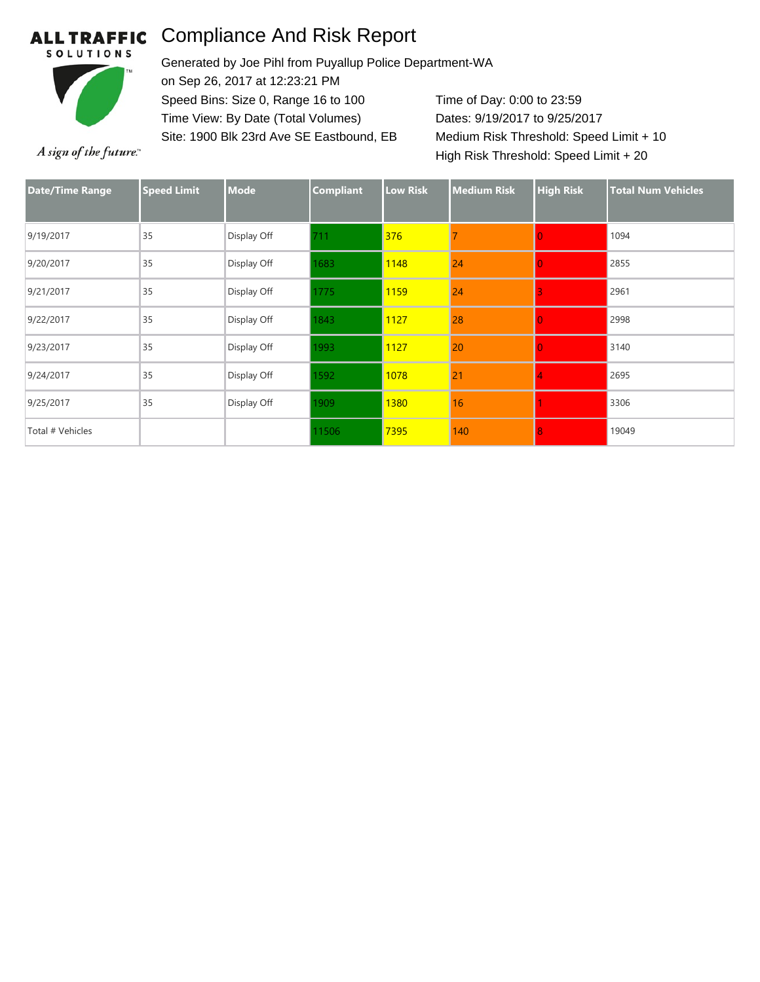## Compliance And Risk Report **ALL TRAFFIC**



Generated by Joe Pihl from Puyallup Police Department-WA on Sep 26, 2017 at 12:23:21 PM Speed Bins: Size 0, Range 16 to 100 Time View: By Date (Total Volumes) Site: 1900 Blk 23rd Ave SE Eastbound, EB

Time of Day: 0:00 to 23:59 Dates: 9/19/2017 to 9/25/2017 Medium Risk Threshold: Speed Limit + 10 High Risk Threshold: Speed Limit + 20

A sign of the future."

| <b>Date/Time Range</b> | <b>Speed Limit</b> | <b>Mode</b> | <b>Compliant</b> | <b>Low Risk</b> | <b>Medium Risk</b> | <b>High Risk</b> | <b>Total Num Vehicles</b> |
|------------------------|--------------------|-------------|------------------|-----------------|--------------------|------------------|---------------------------|
| 9/19/2017              | 35                 | Display Off | 711              | 376             |                    |                  | 1094                      |
| 9/20/2017              | 35                 | Display Off | 1683             | 1148            | 24                 |                  | 2855                      |
| 9/21/2017              | 35                 | Display Off | 1775             | 1159            | 24                 |                  | 2961                      |
| 9/22/2017              | 35                 | Display Off | 1843             | 1127            | 28                 |                  | 2998                      |
| 9/23/2017              | 35                 | Display Off | 1993             | 1127            | 20                 |                  | 3140                      |
| 9/24/2017              | 35                 | Display Off | 1592             | 1078            | 21                 |                  | 2695                      |
| 9/25/2017              | 35                 | Display Off | 1909             | 1380            | 16                 |                  | 3306                      |
| Total # Vehicles       |                    |             | 11506            | 7395            | 140                |                  | 19049                     |